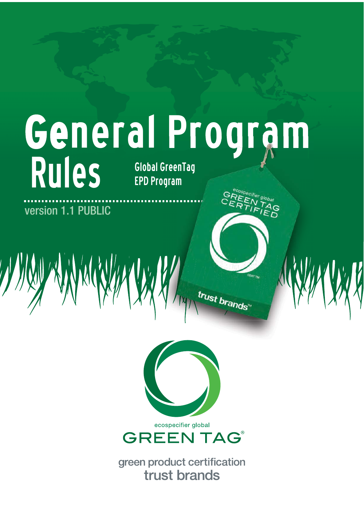# General Program **Rules Global GreenTag**

**EPD Program** 

**GREEN TAGERER TIER** 

trust brands"

version 1.1 PUBLIC

ecospecifier global **GREEN TAG®** 

green product certification trust brands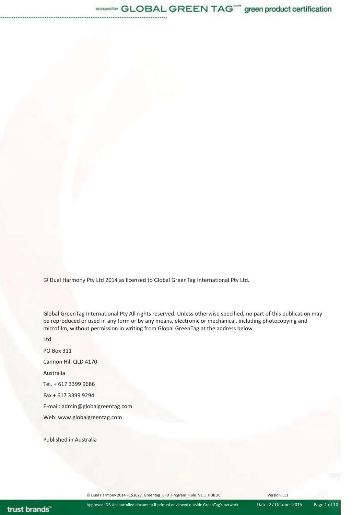© Dual Harmony Pty Ltd 2014 as licensed to Global GreenTag International Pty Ltd.

Global GreenTag International Pty All rights reserved. Unless otherwise specified, no part of this publication may be reproduced or used in any form or by any means, electronic or mechanical, including photocopying and microfilm, without permission in writing from Global GreenTag at the address below.

Ltd PO Box 311 Cannon Hill QLD 4170 Australia Tel. + 617 3399 9686 Fax + 617 3399 9294 E-mail: admin@globalgreentag.com Web: www.globalgreentag.com

Published in Australia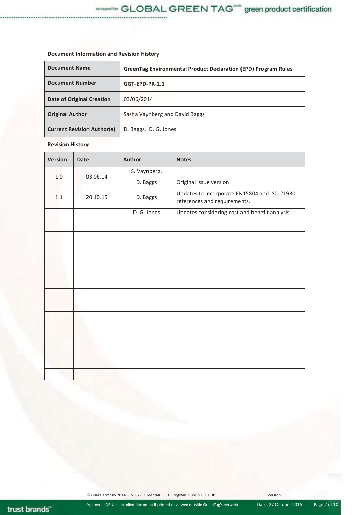# **Document Information and Revision History**

| <b>Document Name</b>              | <b>GreenTag Environmental Product Declaration (EPD) Program Rules</b> |  |
|-----------------------------------|-----------------------------------------------------------------------|--|
| <b>Document Number</b>            | GGT-EPD-PR-1.1                                                        |  |
| <b>Date of Original Creation</b>  | 03/06/2014                                                            |  |
| <b>Original Author</b>            | Sasha Vaynberg and David Baggs                                        |  |
| <b>Current Revision Author(s)</b> | D. Baggs, D. G. Jones                                                 |  |

. . . . . . . . .

# **Revision History**

| <b>Version</b> | <b>Date</b> | <b>Author</b>          | <b>Notes</b>                                                                 |
|----------------|-------------|------------------------|------------------------------------------------------------------------------|
| 1.0            | 03.06.14    | S. Vaynberg,           |                                                                              |
|                | D. Baggs    | Original issue version |                                                                              |
| 1.1            | 20.10.15    | D. Baggs               | Updates to incorporate EN15804 and ISO 21930<br>references and requirements. |
|                |             | D. G. Jones            | Updates considering cost and benefit analysis.                               |
|                |             |                        |                                                                              |
|                |             |                        |                                                                              |
|                |             |                        |                                                                              |
|                |             |                        |                                                                              |
|                |             |                        |                                                                              |
|                |             |                        |                                                                              |
|                |             |                        |                                                                              |
|                |             |                        |                                                                              |
|                |             |                        |                                                                              |
|                |             |                        |                                                                              |
|                |             |                        |                                                                              |
|                |             |                        |                                                                              |
|                |             |                        |                                                                              |
|                |             |                        |                                                                              |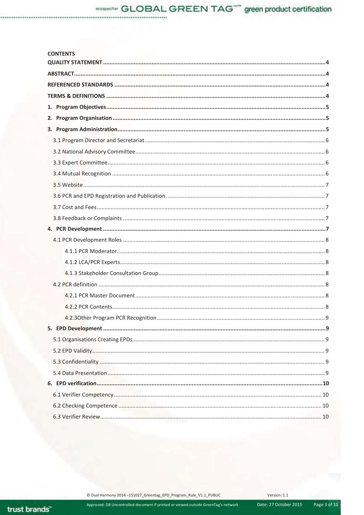# **CONTENTS**

Approved: DB Uncontrolled document if printed or viewed outside GreenTag's network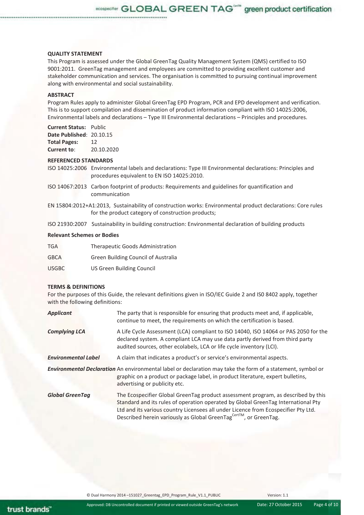#### **QUALITY STATEMENT**

This Program is assessed under the Global GreenTag Quality Management System (QMS) certified to ISO 9001:2011. GreenTag management and employees are committed to providing excellent customer and stakeholder communication and services. The organisation is committed to pursuing continual improvement along with environmental and social sustainability.

# **ABSTRACT**

Program Rules apply to administer Global GreenTag EPD Program, PCR and EPD development and verification. This is to support compilation and dissemination of product information compliant with ISO 14025:2006, Environmental labels and declarations – Type III Environmental declarations – Principles and procedures.

#### **Current Status:** Public

**Date Published**: 20.10.15 **Total Pages:** 12 **Current to**: 20.10.2020

#### **REFERENCED STANDARDS**

ISO 14025:2006 Environmental labels and declarations: Type III Environmental declarations: Principles and procedures equivalent to EN ISO 14025:2010.

- ISO 14067:2013 Carbon footprint of products: Requirements and guidelines for quantification and communication
- EN 15804:2012+A1:2013, Sustainability of construction works: Environmental product declarations: Core rules for the product category of construction products;

ISO 21930:2007 Sustainability in building construction: Environmental declaration of building products

#### **Relevant Schemes or Bodies**

| <b>TGA</b>   | Therapeutic Goods Administration           |
|--------------|--------------------------------------------|
| <b>GBCA</b>  | <b>Green Building Council of Australia</b> |
| <b>USGBC</b> | <b>US Green Building Council</b>           |

#### **TERMS & DEFINITIONS**

For the purposes of this Guide, the relevant definitions given in ISO/IEC Guide 2 and IS0 8402 apply, together with the following definitions:

| <b>Applicant</b>           | The party that is responsible for ensuring that products meet and, if applicable,<br>continue to meet, the requirements on which the certification is based.                                                                                                                                                                                   |
|----------------------------|------------------------------------------------------------------------------------------------------------------------------------------------------------------------------------------------------------------------------------------------------------------------------------------------------------------------------------------------|
| <b>Complying LCA</b>       | A Life Cycle Assessment (LCA) compliant to ISO 14040, ISO 14064 or PAS 2050 for the<br>declared system. A compliant LCA may use data partly derived from third party<br>audited sources, other ecolabels, LCA or life cycle inventory (LCI).                                                                                                   |
| <b>Environmental Label</b> | A claim that indicates a product's or service's environmental aspects.                                                                                                                                                                                                                                                                         |
|                            | <b>Environmental Declaration</b> An environmental label or declaration may take the form of a statement, symbol or<br>graphic on a product or package label, in product literature, expert bulletins,<br>advertising or publicity etc.                                                                                                         |
| <b>Global GreenTag</b>     | The Ecospecifier Global GreenTag product assessment program, as described by this<br>Standard and its rules of operation operated by Global GreenTag International Pty<br>Ltd and its various country Licensees all under Licence from Ecospecifier Pty Ltd.<br>Described herein variously as Global GreenTag <sup>CertTM</sup> , or GreenTag. |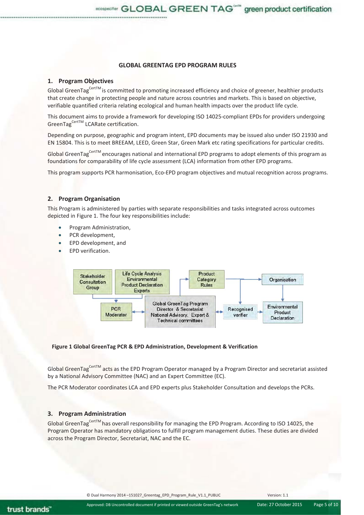# **GLOBAL GREENTAG EPD PROGRAM RULES**

# **1. Program Objectives**

Global GreenTag<sup>CertTM</sup> is committed to promoting increased efficiency and choice of greener, healthier products that create change in protecting people and nature across countries and markets. This is based on objective, verifiable quantified criteria relating ecological and human health impacts over the product life cycle.

This document aims to provide a framework for developing ISO 14025-compliant EPDs for providers undergoing GreenTag<sup>CertTM</sup> LCARate certification.

Depending on purpose, geographic and program intent, EPD documents may be issued also under ISO 21930 and EN 15804. This is to meet BREEAM, LEED, Green Star, Green Mark etc rating specifications for particular credits.

Global GreenTag<sup>CertTM</sup> encourages national and international EPD programs to adopt elements of this program as foundations for comparability of life cycle assessment (LCA) information from other EPD programs.

This program supports PCR harmonisation, Eco-EPD program objectives and mutual recognition across programs.

# **2. Program Organisation**

This Program is administered by parties with separate responsibilities and tasks integrated across outcomes depicted in Figure 1. The four key responsibilities include:

- Program Administration,
- PCR development,
- EPD development, and
- EPD verification.



#### **Figure 1 Global GreenTag PCR & EPD Administration, Development & Verification**

Global GreenTag<sup>CertTM</sup> acts as the EPD Program Operator managed by a Program Director and secretariat assisted by a National Advisory Committee (NAC) and an Expert Committee (EC).

The PCR Moderator coordinates LCA and EPD experts plus Stakeholder Consultation and develops the PCRs.

# **3. Program Administration**

Global GreenTag<sup>CertTM</sup> has overall responsibility for managing the EPD Program. According to ISO 14025, the Program Operator has mandatory obligations to fulfill program management duties. These duties are divided across the Program Director, Secretariat, NAC and the EC.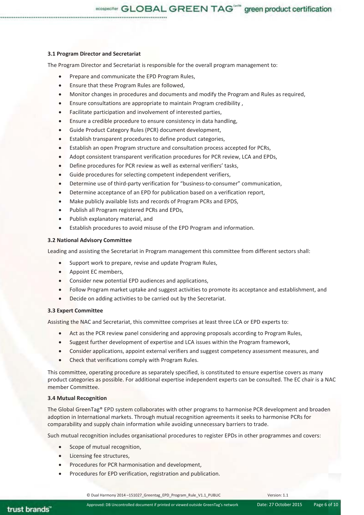ecospecifier GLOBAL GREEN TAG<sup>one</sup> green product certification

## **3.1 Program Director and Secretariat**

The Program Director and Secretariat is responsible for the overall program management to:

- Prepare and communicate the EPD Program Rules,
- Ensure that these Program Rules are followed,
- x Monitor changes in procedures and documents and modify the Program and Rules as required,
- x Ensure consultations are appropriate to maintain Program credibility ,
- Facilitate participation and involvement of interested parties,
- Ensure a credible procedure to ensure consistency in data handling,
- Guide Product Category Rules (PCR) document development,
- Establish transparent procedures to define product categories.
- Establish an open Program structure and consultation process accepted for PCRs,
- Adopt consistent transparent verification procedures for PCR review, LCA and EPDs,
- Define procedures for PCR review as well as external verifiers' tasks,
- Guide procedures for selecting competent independent verifiers,
- Determine use of third-party verification for "business-to-consumer" communication,
- Determine acceptance of an EPD for publication based on a verification report,
- Make publicly available lists and records of Program PCRs and EPDS,
- Publish all Program registered PCRs and EPDs,
- Publish explanatory material, and
- Establish procedures to avoid misuse of the EPD Program and information.

# **3.2 National Advisory Committee**

Leading and assisting the Secretariat in Program management this committee from different sectors shall:

- Support work to prepare, revise and update Program Rules,
- Appoint EC members,
- Consider new potential EPD audiences and applications,
- Follow Program market uptake and suggest activities to promote its acceptance and establishment, and
- Decide on adding activities to be carried out by the Secretariat.

# **3.3 Expert Committee**

Assisting the NAC and Secretariat, this committee comprises at least three LCA or EPD experts to:

- Act as the PCR review panel considering and approving proposals according to Program Rules,
- Suggest further development of expertise and LCA issues within the Program framework,
- Consider applications, appoint external verifiers and suggest competency assessment measures, and
- Check that verifications comply with Program Rules.

This committee, operating procedure as separately specified, is constituted to ensure expertise covers as many product categories as possible. For additional expertise independent experts can be consulted. The EC chair is a NAC member Committee.

## **3.4 Mutual Recognition**

The Global GreenTag® EPD system collaborates with other programs to harmonise PCR development and broaden adoption in International markets. Through mutual recognition agreements it seeks to harmonise PCRs for comparability and supply chain information while avoiding unnecessary barriers to trade.

Such mutual recognition includes organisational procedures to register EPDs in other programmes and covers:

- $\bullet$  Scope of mutual recognition,
- Licensing fee structures,
- Procedures for PCR harmonisation and development,
- Procedures for EPD verification, registration and publication.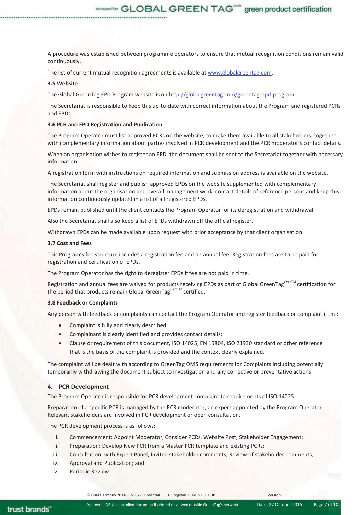A procedure was established between programme operators to ensure that mutual recognition conditions remain valid continuously.

ecospecifier GLOBAL GREEN TAG<sup>one</sup> green product certification

The list of current mutual recognition agreements is available at www.globalgreentag.com.

## **3.5 Website**

The Global GreenTag EPD Program website is on http://globalgreentag.com/greentag-epd-program.

The Secretariat is responsible to keep this up-to-date with correct information about the Program and registered PCRs and EPDs.

#### **3.6 PCR and EPD Registration and Publication**

The Program Operator must list approved PCRs on the website, to make them available to all stakeholders, together with complementary information about parties involved in PCR development and the PCR moderator's contact details.

When an organisation wishes to register an EPD, the document shall be sent to the Secretariat together with necessary information.

A registration form with instructions on required information and submission address is available on the website.

The Secretariat shall register and publish approved EPDs on the website supplemented with complementary information about the organisation and overall management work, contact details of reference persons and keep this information continuously updated in a list of all registered EPDs.

EPDs remain published until the client contacts the Program Operator for its deregistration and withdrawal.

Also the Secretariat shall also keep a list of EPDs withdrawn off the official register.

Withdrawn EPDs can be made available upon request with prior acceptance by that client organisation.

#### **3.7 Cost and Fees**

This Program's fee structure includes a registration fee and an annual fee. Registration fees are to be paid for registration and certification of EPDs.

The Program Operator has the right to deregister EPDs if fee are not paid in time.

Registration and annual fees are waived for products receiving EPDs as part of Global GreenTag<sup>CertTM</sup> certification for the period that products remain Global GreenTag<sup>CertTM</sup> certified.

#### **3.8 Feedback or Complaints**

Any person with feedback or complaints can contact the Program Operator and register feedback or complaint if the:

- Complaint is fully and clearly described;
- Complainant is clearly identified and provides contact details;
- Clause or requirement of this document, ISO 14025, EN 15804, ISO 21930 standard or other reference that is the basis of the complaint is provided and the context clearly explained.

The complaint will be dealt with according to GreenTag QMS requirements for Complaints including potentially temporarily withdrawing the document subject to investigation and any corrective or preventative actions.

# **4. PCR Development**

The Program Operator is responsible for PCR development complaint to requirements of ISO 14025.

Preparation of a specific PCR is managed by the PCR moderator, an expert appointed by the Program Operator. Relevant stakeholders are involved in PCR development or open consultation.

The PCR development process is as follows:

- i. Commencement: Appoint Moderator, Consider PCRs, Website Post, Stakeholder Engagement;
- ii. Preparation: Develop New PCR from a Master PCR template and existing PCRs;
- iii. Consultation: with Expert Panel, Invited stakeholder comments, Review of stakeholder comments;
- iv. Approval and Publication; and
- v. Periodic Review.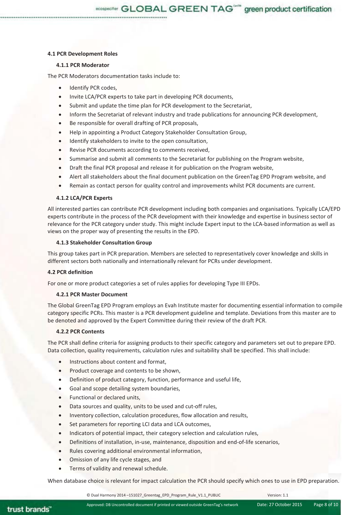#### **4.1 PCR Development Roles**

# **4.1.1 PCR Moderator**

The PCR Moderators documentation tasks include to:

- Identify PCR codes,
- Invite LCA/PCR experts to take part in developing PCR documents,
- Submit and update the time plan for PCR development to the Secretariat,
- Inform the Secretariat of relevant industry and trade publications for announcing PCR development,
- Be responsible for overall drafting of PCR proposals,
- Help in appointing a Product Category Stakeholder Consultation Group,
- Identify stakeholders to invite to the open consultation,
- Revise PCR documents according to comments received,
- Summarise and submit all comments to the Secretariat for publishing on the Program website,
- Draft the final PCR proposal and release it for publication on the Program website,
- Alert all stakeholders about the final document publication on the GreenTag EPD Program website, and
- Remain as contact person for quality control and improvements whilst PCR documents are current.

#### **4.1.2 LCA/PCR Experts**

All interested parties can contribute PCR development including both companies and organisations. Typically LCA/EPD experts contribute in the process of the PCR development with their knowledge and expertise in business sector of relevance for the PCR category under study. This might include Expert input to the LCA-based information as well as views on the proper way of presenting the results in the EPD.

#### **4.1.3 Stakeholder Consultation Group**

This group takes part in PCR preparation. Members are selected to representatively cover knowledge and skills in different sectors both nationally and internationally relevant for PCRs under development.

#### **4.2 PCR definition**

For one or more product categories a set of rules applies for developing Type III EPDs.

## **4.2.1 PCR Master Document**

The Global GreenTag EPD Program employs an Evah Institute master for documenting essential information to compile category specific PCRs. This master is a PCR development guideline and template. Deviations from this master are to be denoted and approved by the Expert Committee during their review of the draft PCR.

# **4.2.2 PCR Contents**

The PCR shall define criteria for assigning products to their specific category and parameters set out to prepare EPD. Data collection, quality requirements, calculation rules and suitability shall be specified. This shall include:

- Instructions about content and format.
- Product coverage and contents to be shown,
- Definition of product category, function, performance and useful life,
- Goal and scope detailing system boundaries,
- Functional or declared units,
- Data sources and quality, units to be used and cut-off rules,
- Inventory collection, calculation procedures, flow allocation and results,
- Set parameters for reporting LCI data and LCA outcomes,
- Indicators of potential impact, their category selection and calculation rules,
- Definitions of installation, in-use, maintenance, disposition and end-of-life scenarios,
- Rules covering additional environmental information,
- Omission of any life cycle stages, and
- Terms of validity and renewal schedule.

When database choice is relevant for impact calculation the PCR should specify which ones to use in EPD preparation.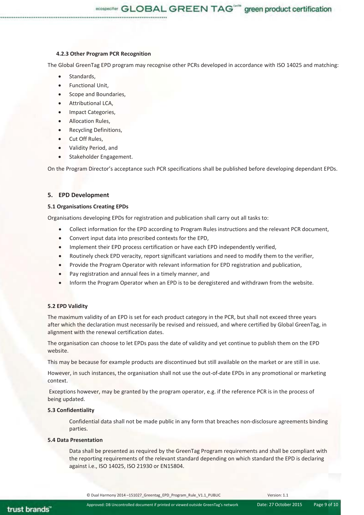**4.2.3 Other Program PCR Recognition** 

The Global GreenTag EPD program may recognise other PCRs developed in accordance with ISO 14025 and matching:

ecospecifier GLOBAL GREEN TAG<sup>ons</sup> green product certification

- Standards,
- Functional Unit,
- Scope and Boundaries,
- Attributional LCA,
- **Impact Categories,**
- x Allocation Rules,
- Recycling Definitions,
- Cut Off Rules,
- x Validity Period, and
- Stakeholder Engagement.

On the Program Director's acceptance such PCR specifications shall be published before developing dependant EPDs.

# **5. EPD Development**

# **5.1 Organisations Creating EPDs**

Organisations developing EPDs for registration and publication shall carry out all tasks to:

- Collect information for the EPD according to Program Rules instructions and the relevant PCR document,
- Convert input data into prescribed contexts for the EPD,
- Implement their EPD process certification or have each EPD independently verified.
- Routinely check EPD veracity, report significant variations and need to modify them to the verifier,
- Provide the Program Operator with relevant information for EPD registration and publication,
- Pay registration and annual fees in a timely manner, and
- Inform the Program Operator when an EPD is to be deregistered and withdrawn from the website.

# **5.2 EPD Validity**

The maximum validity of an EPD is set for each product category in the PCR, but shall not exceed three years after which the declaration must necessarily be revised and reissued, and where certified by Global GreenTag, in alignment with the renewal certification dates.

The organisation can choose to let EPDs pass the date of validity and yet continue to publish them on the EPD website.

This may be because for example products are discontinued but still available on the market or are still in use.

However, in such instances, the organisation shall not use the out-of-date EPDs in any promotional or marketing context.

 Exceptions however, may be granted by the program operator, e.g. if the reference PCR is in the process of being updated.

# **5.3 Confidentiality**

Confidential data shall not be made public in any form that breaches non-disclosure agreements binding parties.

# **5.4 Data Presentation**

Data shall be presented as required by the GreenTag Program requirements and shall be compliant with the reporting requirements of the relevant standard depending on which standard the EPD is declaring against i.e., ISO 14025, ISO 21930 or EN15804.

trust brands"